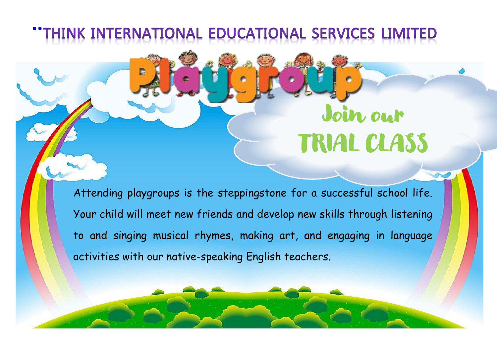## **THINK INTERNATIONAL EDUCATIONAL SERVICES LIMITED**

# Join our TRIAL CLASS

Attending playgroups is the steppingstone for a successful school life. Your child will meet new friends and develop new skills through listening to and singing musical rhymes, making art, and engaging in language activities with our native-speaking English teachers.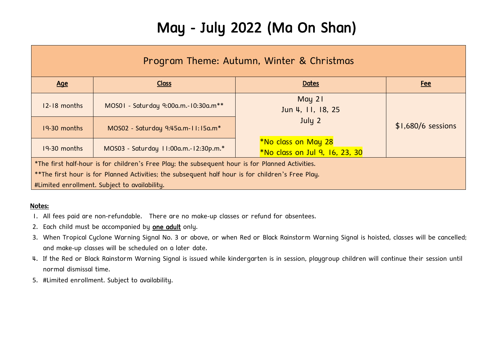### May - July 2022 (Ma On Shan)

| Program Theme: Autumn, Winter & Christmas                                                           |                                       |                                                                     |                     |  |
|-----------------------------------------------------------------------------------------------------|---------------------------------------|---------------------------------------------------------------------|---------------------|--|
| <u>Age</u>                                                                                          | <b>Class</b>                          | <b>Dates</b>                                                        | <u>Fee</u>          |  |
| 12-18 months                                                                                        | MOS01 - Saturday 9:00a.m.-10:30a.m**  | May 21<br>Jun 4, 11, 18, 25                                         |                     |  |
| 19-30 months                                                                                        | MOS02 - Saturday 9:45a.m-11:15a.m*    | July 2                                                              | $$1,680/6$ sessions |  |
| 19-30 months                                                                                        | MOS03 - Saturday 11:00a.m.-12:30p.m.* | <i><b>*No class on May 28</b></i><br>*No class on Jul 9, 16, 23, 30 |                     |  |
| *The first half-hour is for children's Free Play; the subsequent hour is for Planned Activities.    |                                       |                                                                     |                     |  |
| $*$ The first hour is for Planned Activities; the subsequent half hour is for children's Free Play. |                                       |                                                                     |                     |  |
| #Limited enrollment. Subject to availability.                                                       |                                       |                                                                     |                     |  |

#### Notes:

- 1. All fees paid are non-refundable. There are no make-up classes or refund for absentees.
- 2. Each child must be accompanied by one adult only.
- 3. When Tropical Cyclone Warning Signal No. 3 or above, or when Red or Black Rainstorm Warning Signal is hoisted, classes will be cancelled; and make-up classes will be scheduled on a later date.
- 4. If the Red or Black Rainstorm Warning Signal is issued while kindergarten is in session, playgroup children will continue their session until normal dismissal time.
- 5. #Limited enrollment. Subject to availability.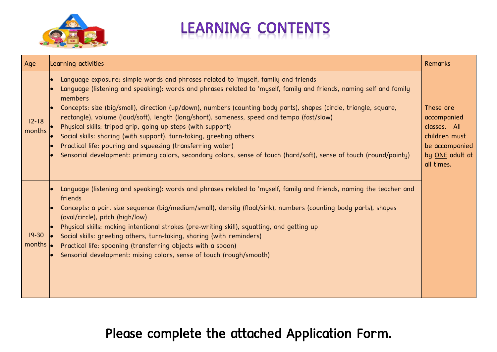

## **LEARNING CONTENTS**

| Age                 | Learning activities                                                                                                                                                                                                                                                                                                                                                                                                                                                                                                                                                                                                                                                                                                                                               | Remarks                                                                                                      |
|---------------------|-------------------------------------------------------------------------------------------------------------------------------------------------------------------------------------------------------------------------------------------------------------------------------------------------------------------------------------------------------------------------------------------------------------------------------------------------------------------------------------------------------------------------------------------------------------------------------------------------------------------------------------------------------------------------------------------------------------------------------------------------------------------|--------------------------------------------------------------------------------------------------------------|
| $12 - 18$<br>months | Language exposure: simple words and phrases related to 'myself, family and friends<br>Language (listening and speaking): words and phrases related to 'myself, family and friends, naming self and family<br>members<br>Concepts: size (big/small), direction (up/down), numbers (counting body parts), shapes (circle, triangle, square,<br>rectangle), volume (loud/soft), length (long/short), sameness, speed and tempo (fast/slow)<br>Physical skills: tripod grip, going up steps (with support)<br>Social skills: sharing (with support), turn-taking, greeting others<br>Practical life: pouring and squeezing (transferring water)<br>Sensorial development: primary colors, secondary colors, sense of touch (hard/soft), sense of touch (round/pointy) | These are<br>accompanied<br>classes. All<br>children must<br>be accompanied<br>by ONE adult at<br>all times. |
| $19 - 30$<br>months | Language (listening and speaking): words and phrases related to 'myself, family and friends, naming the teacher and<br>friends<br>Concepts: a pair, size sequence (big/medium/small), density (float/sink), numbers (counting body parts), shapes<br>(oval/circle), pitch (high/low)<br>Physical skills: making intentional strokes (pre-writing skill), squatting, and getting up<br>Social skills: greeting others, turn-taking, sharing (with reminders)<br>Practical life: spooning (transferring objects with a spoon)<br>Sensorial development: mixing colors, sense of touch (rough/smooth)                                                                                                                                                                |                                                                                                              |

Please complete the attached Application Form.